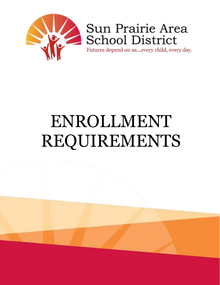

Sun Prairie Area School District

Futures depend on us...every child, every day.

# ENROLLMENT REQUIREMENTS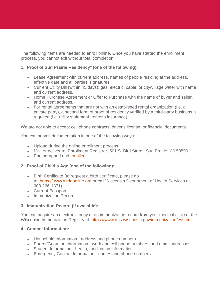The following items are needed to enroll online. Once you have started the enrollment process, you cannot exit without total completion.

## **1. Proof of Sun Prairie Residency\* (one of the following):**

- Lease Agreement with current address, names of people residing at the address, effective date and all parties' signatures.
- Current Utility Bill (within 45 days); gas, electric, cable, or city/village water with name and current address.
- Home Purchase Agreement or Offer to Purchase with the name of buyer and seller, and current address.
- For rental agreements that are not with an established rental organization (i.e. a private party), a second form of proof of residency verified by a third-party business is required (i.e. utility statement, renter's insurance).

We are not able to accept cell phone contracts, driver's license, or financial documents.

You can submit documentation in one of the following ways:

- Upload during the online enrollment process
- Mail or deliver to: Enrollment Registrar, 501 S. Bird Street, Sun Prairie, WI 53590
- Photographed and [emailed](mailto:enroll@sunprairieschools.org)

### **2. Proof of Child's Age (one of the following):**

- Birth Certificate (to request a birth certificate, please go to: [https://www.wrdaonline.org](https://www.wrdaonline.org/) or call Wisconsin Department of Health Services at 608-266-1371)
- Current Passport
- Immunization Record

### **3. Immunization Record (if available):**

You can acquire an electronic copy of an immunization record from your medical clinic or the Wisconsin Immunization Registry at: <https://www.dhs.wisconsin.gov/immunization/wir.htm>

### **4. Contact Information:**

- Household Information address and phone numbers
- Parent/Guardian Information work and cell phone numbers, and email addresses
- Student Information health, medication information
- Emergency Contact Information names and phone numbers